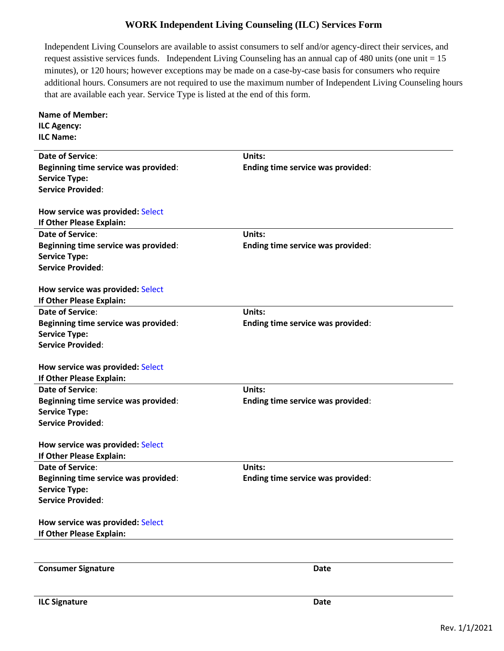## **WORK Independent Living Counseling (ILC) Services Form**

Independent Living Counselors are available to assist consumers to self and/or agency-direct their services, and request assistive services funds. Independent Living Counseling has an annual cap of 480 units (one unit = 15 minutes), or 120 hours; however exceptions may be made on a case-by-case basis for consumers who require additional hours. Consumers are not required to use the maximum number of Independent Living Counseling hours that are available each year. Service Type is listed at the end of this form.

| <b>Name of Member:</b>               |                                   |  |
|--------------------------------------|-----------------------------------|--|
| <b>ILC Agency:</b>                   |                                   |  |
| <b>ILC Name:</b>                     |                                   |  |
|                                      |                                   |  |
| Date of Service:                     | Units:                            |  |
| Beginning time service was provided: | Ending time service was provided: |  |
| <b>Service Type:</b>                 |                                   |  |
| <b>Service Provided:</b>             |                                   |  |
| How service was provided: Select     |                                   |  |
| If Other Please Explain:             |                                   |  |
|                                      |                                   |  |
| <b>Date of Service:</b>              | <b>Units:</b>                     |  |
| Beginning time service was provided: | Ending time service was provided: |  |
| <b>Service Type:</b>                 |                                   |  |
| <b>Service Provided:</b>             |                                   |  |
|                                      |                                   |  |
| How service was provided: Select     |                                   |  |
| If Other Please Explain:             |                                   |  |
| <b>Date of Service:</b>              | Units:                            |  |
| Beginning time service was provided: | Ending time service was provided: |  |
| <b>Service Type:</b>                 |                                   |  |
| <b>Service Provided:</b>             |                                   |  |
| How service was provided: Select     |                                   |  |
| If Other Please Explain:             |                                   |  |
| <b>Date of Service:</b>              | Units:                            |  |
| Beginning time service was provided: | Ending time service was provided: |  |
| <b>Service Type:</b>                 |                                   |  |
| <b>Service Provided:</b>             |                                   |  |
|                                      |                                   |  |
| How service was provided: Select     |                                   |  |
| If Other Please Explain:             |                                   |  |
| <b>Date of Service:</b>              | Units:                            |  |
| Beginning time service was provided: | Ending time service was provided: |  |
| <b>Service Type:</b>                 |                                   |  |
| <b>Service Provided:</b>             |                                   |  |
|                                      |                                   |  |
| How service was provided: Select     |                                   |  |
| If Other Please Explain:             |                                   |  |
|                                      |                                   |  |
| <b>Consumer Signature</b>            | <b>Date</b>                       |  |
|                                      |                                   |  |
|                                      |                                   |  |